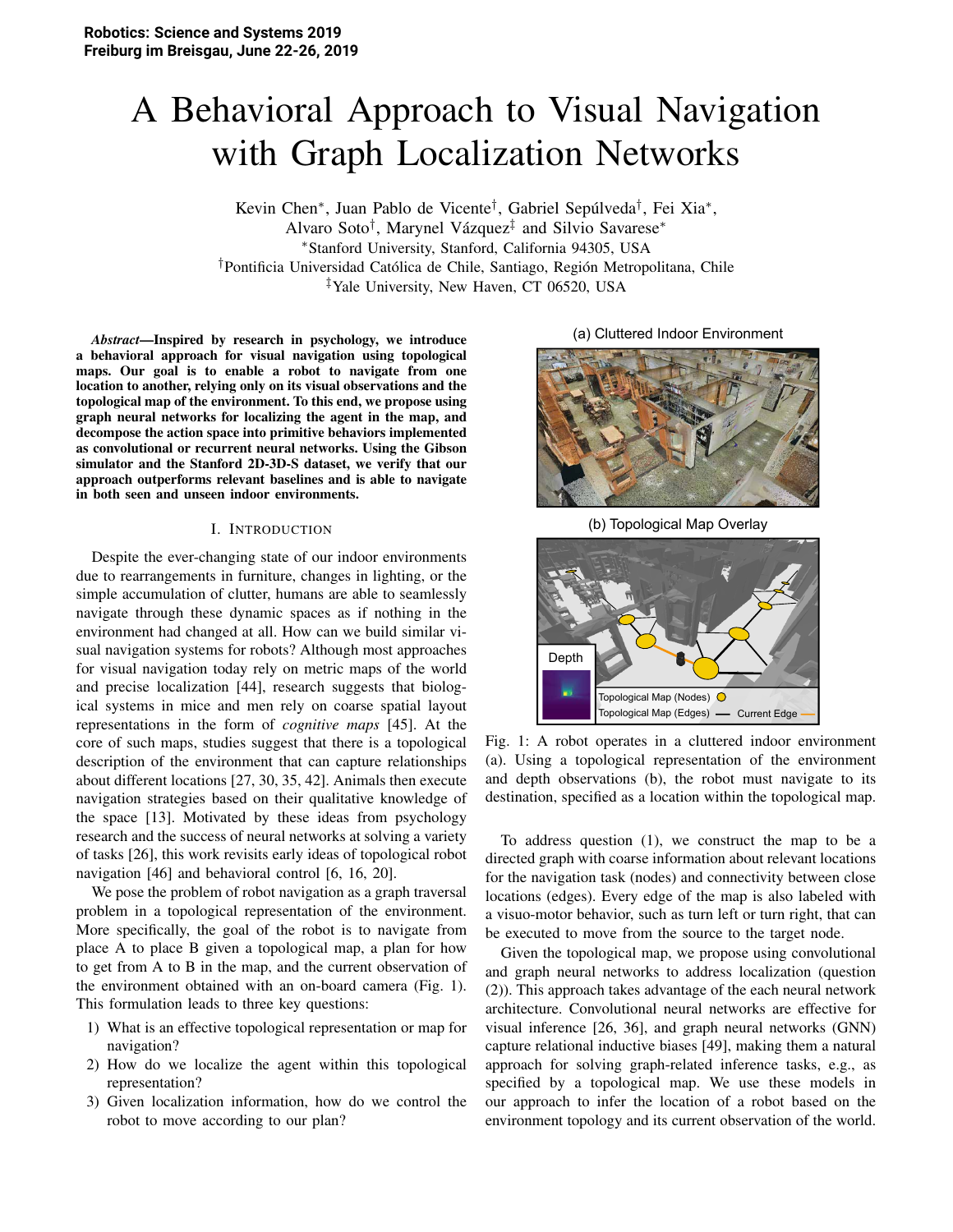# A Behavioral Approach to Visual Navigation with Graph Localization Networks

Kevin Chen<sup>∗</sup>, Juan Pablo de Vicente<sup>†</sup>, Gabriel Sepúlveda<sup>†</sup>, Fei Xia<sup>∗</sup>, Alvaro Soto<sup>†</sup>, Marynel Vázquez<sup>‡</sup> and Silvio Savarese\* <sup>∗</sup>Stanford University, Stanford, California 94305, USA <sup>†</sup>Pontificia Universidad Católica de Chile, Santiago, Región Metropolitana, Chile ‡Yale University, New Haven, CT 06520, USA

*Abstract*—Inspired by research in psychology, we introduce a behavioral approach for visual navigation using topological maps. Our goal is to enable a robot to navigate from one location to another, relying only on its visual observations and the topological map of the environment. To this end, we propose using graph neural networks for localizing the agent in the map, and decompose the action space into primitive behaviors implemented as convolutional or recurrent neural networks. Using the Gibson simulator and the Stanford 2D-3D-S dataset, we verify that our approach outperforms relevant baselines and is able to navigate in both seen and unseen indoor environments.

## I. INTRODUCTION

Despite the ever-changing state of our indoor environments due to rearrangements in furniture, changes in lighting, or the simple accumulation of clutter, humans are able to seamlessly navigate through these dynamic spaces as if nothing in the environment had changed at all. How can we build similar visual navigation systems for robots? Although most approaches for visual navigation today rely on metric maps of the world and precise localization [44], research suggests that biological systems in mice and men rely on coarse spatial layout representations in the form of *cognitive maps* [45]. At the core of such maps, studies suggest that there is a topological description of the environment that can capture relationships about different locations [27, 30, 35, 42]. Animals then execute navigation strategies based on their qualitative knowledge of the space [13]. Motivated by these ideas from psychology research and the success of neural networks at solving a variety of tasks [26], this work revisits early ideas of topological robot navigation [46] and behavioral control [6, 16, 20].

We pose the problem of robot navigation as a graph traversal problem in a topological representation of the environment. More specifically, the goal of the robot is to navigate from place A to place B given a topological map, a plan for how to get from A to B in the map, and the current observation of the environment obtained with an on-board camera (Fig. 1). This formulation leads to three key questions:

- 1) What is an effective topological representation or map for navigation?
- 2) How do we localize the agent within this topological representation?
- 3) Given localization information, how do we control the robot to move according to our plan?

(a) Cluttered Indoor Environment



(b) Topological Map Overlay



Fig. 1: A robot operates in a cluttered indoor environment (a). Using a topological representation of the environment and depth observations (b), the robot must navigate to its destination, specified as a location within the topological map.

To address question (1), we construct the map to be a directed graph with coarse information about relevant locations for the navigation task (nodes) and connectivity between close locations (edges). Every edge of the map is also labeled with a visuo-motor behavior, such as turn left or turn right, that can be executed to move from the source to the target node.

Given the topological map, we propose using convolutional and graph neural networks to address localization (question (2)). This approach takes advantage of the each neural network architecture. Convolutional neural networks are effective for visual inference [26, 36], and graph neural networks (GNN) capture relational inductive biases [49], making them a natural approach for solving graph-related inference tasks, e.g., as specified by a topological map. We use these models in our approach to infer the location of a robot based on the environment topology and its current observation of the world.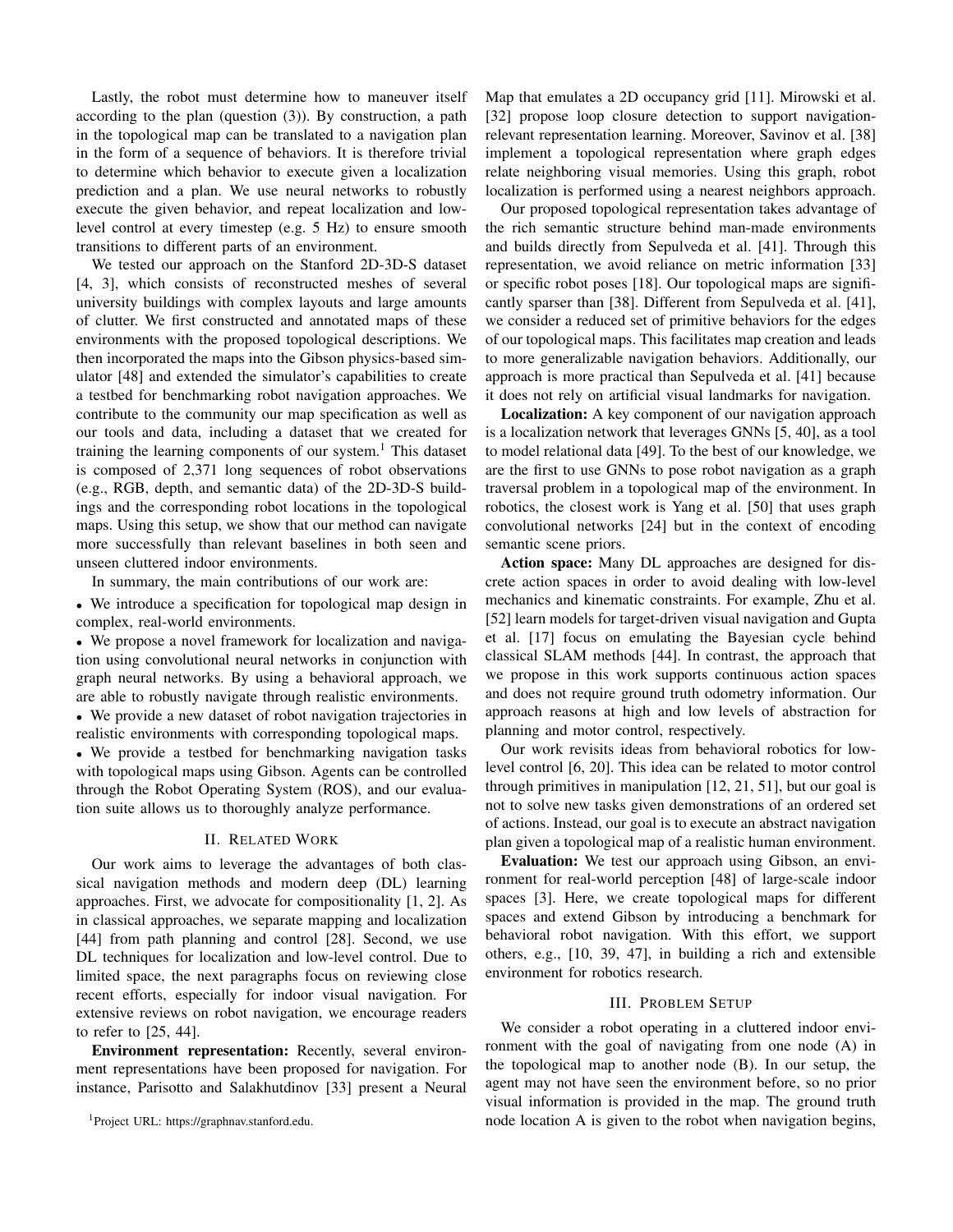Lastly, the robot must determine how to maneuver itself according to the plan (question (3)). By construction, a path in the topological map can be translated to a navigation plan in the form of a sequence of behaviors. It is therefore trivial to determine which behavior to execute given a localization prediction and a plan. We use neural networks to robustly execute the given behavior, and repeat localization and lowlevel control at every timestep (e.g. 5 Hz) to ensure smooth transitions to different parts of an environment.

We tested our approach on the Stanford 2D-3D-S dataset [4, 3], which consists of reconstructed meshes of several university buildings with complex layouts and large amounts of clutter. We first constructed and annotated maps of these environments with the proposed topological descriptions. We then incorporated the maps into the Gibson physics-based simulator [48] and extended the simulator's capabilities to create a testbed for benchmarking robot navigation approaches. We contribute to the community our map specification as well as our tools and data, including a dataset that we created for training the learning components of our system.<sup>1</sup> This dataset is composed of 2,371 long sequences of robot observations (e.g., RGB, depth, and semantic data) of the 2D-3D-S buildings and the corresponding robot locations in the topological maps. Using this setup, we show that our method can navigate more successfully than relevant baselines in both seen and unseen cluttered indoor environments.

In summary, the main contributions of our work are:

• We introduce a specification for topological map design in complex, real-world environments.

• We propose a novel framework for localization and navigation using convolutional neural networks in conjunction with graph neural networks. By using a behavioral approach, we are able to robustly navigate through realistic environments.

• We provide a new dataset of robot navigation trajectories in realistic environments with corresponding topological maps.

• We provide a testbed for benchmarking navigation tasks with topological maps using Gibson. Agents can be controlled through the Robot Operating System (ROS), and our evaluation suite allows us to thoroughly analyze performance.

# **II. RELATED WORK**

Our work aims to leverage the advantages of both classical navigation methods and modern deep (DL) learning approaches. First, we advocate for compositionality  $[1, 2]$ . As in classical approaches, we separate mapping and localization [44] from path planning and control [28]. Second, we use DL techniques for localization and low-level control. Due to limited space, the next paragraphs focus on reviewing close recent efforts, especially for indoor visual navigation. For extensive reviews on robot navigation, we encourage readers to refer to  $[25, 44]$ .

Environment representation: Recently, several environment representations have been proposed for navigation. For instance, Parisotto and Salakhutdinov [33] present a Neural Map that emulates a 2D occupancy grid [11]. Mirowski et al. [32] propose loop closure detection to support navigationrelevant representation learning. Moreover, Savinov et al. [38] implement a topological representation where graph edges relate neighboring visual memories. Using this graph, robot localization is performed using a nearest neighbors approach.

Our proposed topological representation takes advantage of the rich semantic structure behind man-made environments and builds directly from Sepulveda et al. [41]. Through this representation, we avoid reliance on metric information [33] or specific robot poses [18]. Our topological maps are significantly sparser than [38]. Different from Sepulveda et al. [41], we consider a reduced set of primitive behaviors for the edges of our topological maps. This facilitates map creation and leads to more generalizable navigation behaviors. Additionally, our approach is more practical than Sepulveda et al. [41] because it does not rely on artificial visual landmarks for navigation.

**Localization:** A key component of our navigation approach is a localization network that leverages GNNs [5, 40], as a tool to model relational data [49]. To the best of our knowledge, we are the first to use GNNs to pose robot navigation as a graph traversal problem in a topological map of the environment. In robotics, the closest work is Yang et al. [50] that uses graph convolutional networks [24] but in the context of encoding semantic scene priors.

Action space: Many DL approaches are designed for discrete action spaces in order to avoid dealing with low-level mechanics and kinematic constraints. For example, Zhu et al. [52] learn models for target-driven visual navigation and Gupta et al. [17] focus on emulating the Bayesian cycle behind classical SLAM methods [44]. In contrast, the approach that we propose in this work supports continuous action spaces and does not require ground truth odometry information. Our approach reasons at high and low levels of abstraction for planning and motor control, respectively.

Our work revisits ideas from behavioral robotics for lowlevel control [6, 20]. This idea can be related to motor control through primitives in manipulation  $[12, 21, 51]$ , but our goal is not to solve new tasks given demonstrations of an ordered set of actions. Instead, our goal is to execute an abstract navigation plan given a topological map of a realistic human environment.

**Evaluation:** We test our approach using Gibson, an environment for real-world perception [48] of large-scale indoor spaces [3]. Here, we create topological maps for different spaces and extend Gibson by introducing a benchmark for behavioral robot navigation. With this effort, we support others, e.g., [10, 39, 47], in building a rich and extensible environment for robotics research.

# **III. PROBLEM SETUP**

We consider a robot operating in a cluttered indoor environment with the goal of navigating from one node (A) in the topological map to another node (B). In our setup, the agent may not have seen the environment before, so no prior visual information is provided in the map. The ground truth node location A is given to the robot when navigation begins,

<sup>&</sup>lt;sup>1</sup>Project URL: https://graphnav.stanford.edu.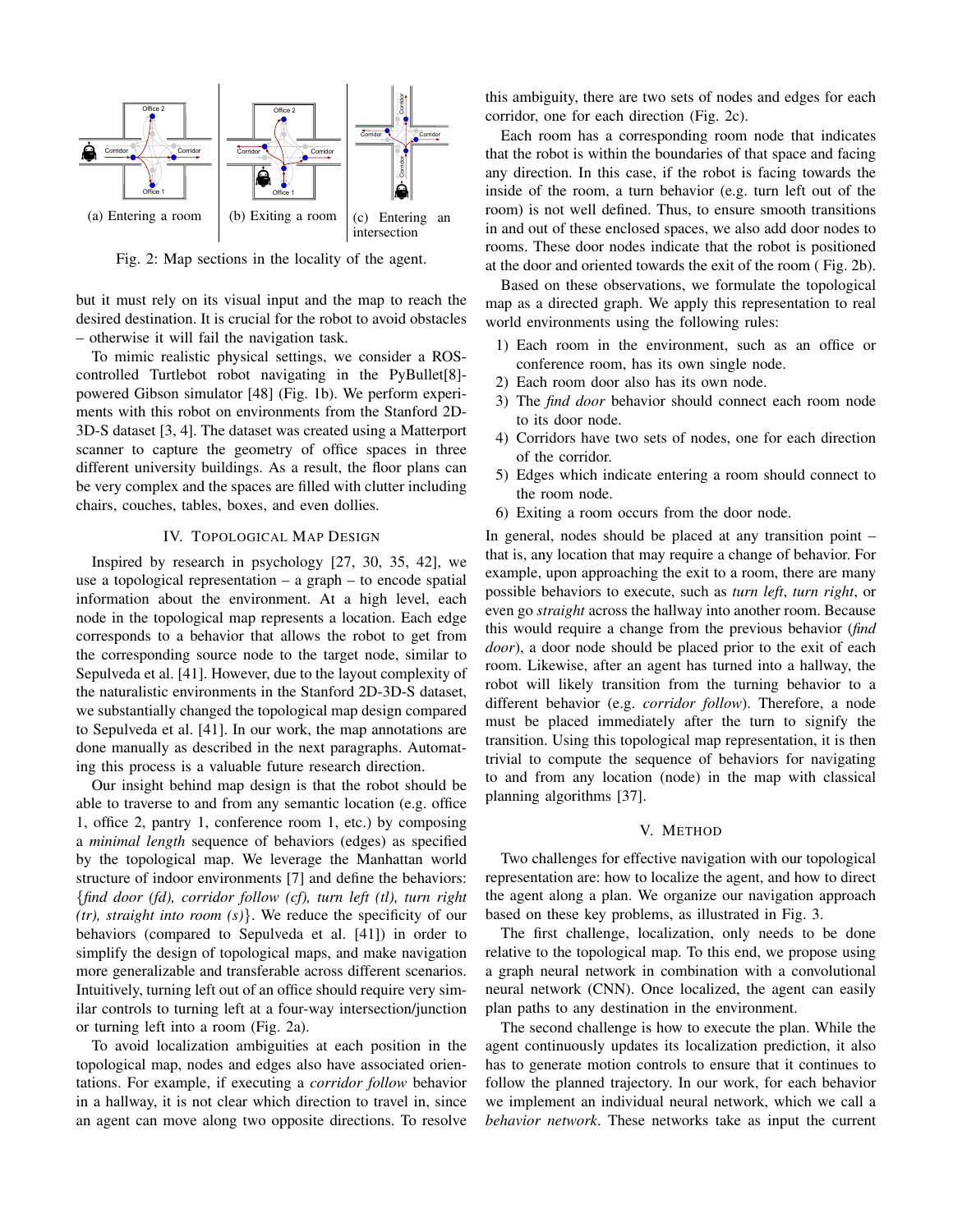

Fig. 2: Map sections in the locality of the agent.

but it must rely on its visual input and the map to reach the desired destination. It is crucial for the robot to avoid obstacles - otherwise it will fail the navigation task.

To mimic realistic physical settings, we consider a ROScontrolled Turtlebot robot navigating in the PyBullet[8]powered Gibson simulator [48] (Fig. 1b). We perform experiments with this robot on environments from the Stanford 2D-3D-S dataset [3, 4]. The dataset was created using a Matterport scanner to capture the geometry of office spaces in three different university buildings. As a result, the floor plans can be very complex and the spaces are filled with clutter including chairs, couches, tables, boxes, and even dollies.

### **IV. TOPOLOGICAL MAP DESIGN**

Inspired by research in psychology [27, 30, 35, 42], we use a topological representation  $-$  a graph  $-$  to encode spatial information about the environment. At a high level, each node in the topological map represents a location. Each edge corresponds to a behavior that allows the robot to get from the corresponding source node to the target node, similar to Sepulveda et al. [41]. However, due to the layout complexity of the naturalistic environments in the Stanford 2D-3D-S dataset, we substantially changed the topological map design compared to Sepulveda et al. [41]. In our work, the map annotations are done manually as described in the next paragraphs. Automating this process is a valuable future research direction.

Our insight behind map design is that the robot should be able to traverse to and from any semantic location (e.g. office 1, office 2, pantry 1, conference room 1, etc.) by composing a *minimal length* sequence of behaviors (edges) as specified by the topological map. We leverage the Manhattan world structure of indoor environments [7] and define the behaviors: {find door (fd), corridor follow (cf), turn left (tl), turn right  $(tr)$ , straight into room  $(s)$ . We reduce the specificity of our behaviors (compared to Sepulveda et al. [41]) in order to simplify the design of topological maps, and make navigation more generalizable and transferable across different scenarios. Intuitively, turning left out of an office should require very similar controls to turning left at a four-way intersection/junction or turning left into a room (Fig. 2a).

To avoid localization ambiguities at each position in the topological map, nodes and edges also have associated orientations. For example, if executing a *corridor follow* behavior in a hallway, it is not clear which direction to travel in, since an agent can move along two opposite directions. To resolve this ambiguity, there are two sets of nodes and edges for each corridor, one for each direction (Fig. 2c).

Each room has a corresponding room node that indicates that the robot is within the boundaries of that space and facing any direction. In this case, if the robot is facing towards the inside of the room, a turn behavior (e.g. turn left out of the room) is not well defined. Thus, to ensure smooth transitions in and out of these enclosed spaces, we also add door nodes to rooms. These door nodes indicate that the robot is positioned at the door and oriented towards the exit of the room (Fig. 2b).

Based on these observations, we formulate the topological map as a directed graph. We apply this representation to real world environments using the following rules:

- 1) Each room in the environment, such as an office or conference room, has its own single node.
- 2) Each room door also has its own node.
- 3) The find door behavior should connect each room node to its door node.
- 4) Corridors have two sets of nodes, one for each direction of the corridor.
- 5) Edges which indicate entering a room should connect to the room node.
- 6) Exiting a room occurs from the door node.

In general, nodes should be placed at any transition point that is, any location that may require a change of behavior. For example, upon approaching the exit to a room, there are many possible behaviors to execute, such as turn left, turn right, or even go *straight* across the hallway into another room. Because this would require a change from the previous behavior (find *door*), a door node should be placed prior to the exit of each room. Likewise, after an agent has turned into a hallway, the robot will likely transition from the turning behavior to a different behavior (e.g. *corridor follow*). Therefore, a node must be placed immediately after the turn to signify the transition. Using this topological map representation, it is then trivial to compute the sequence of behaviors for navigating to and from any location (node) in the map with classical planning algorithms [37].

# V. METHOD

Two challenges for effective navigation with our topological representation are: how to localize the agent, and how to direct the agent along a plan. We organize our navigation approach based on these key problems, as illustrated in Fig. 3.

The first challenge, localization, only needs to be done relative to the topological map. To this end, we propose using a graph neural network in combination with a convolutional neural network (CNN). Once localized, the agent can easily plan paths to any destination in the environment.

The second challenge is how to execute the plan. While the agent continuously updates its localization prediction, it also has to generate motion controls to ensure that it continues to follow the planned trajectory. In our work, for each behavior we implement an individual neural network, which we call a behavior network. These networks take as input the current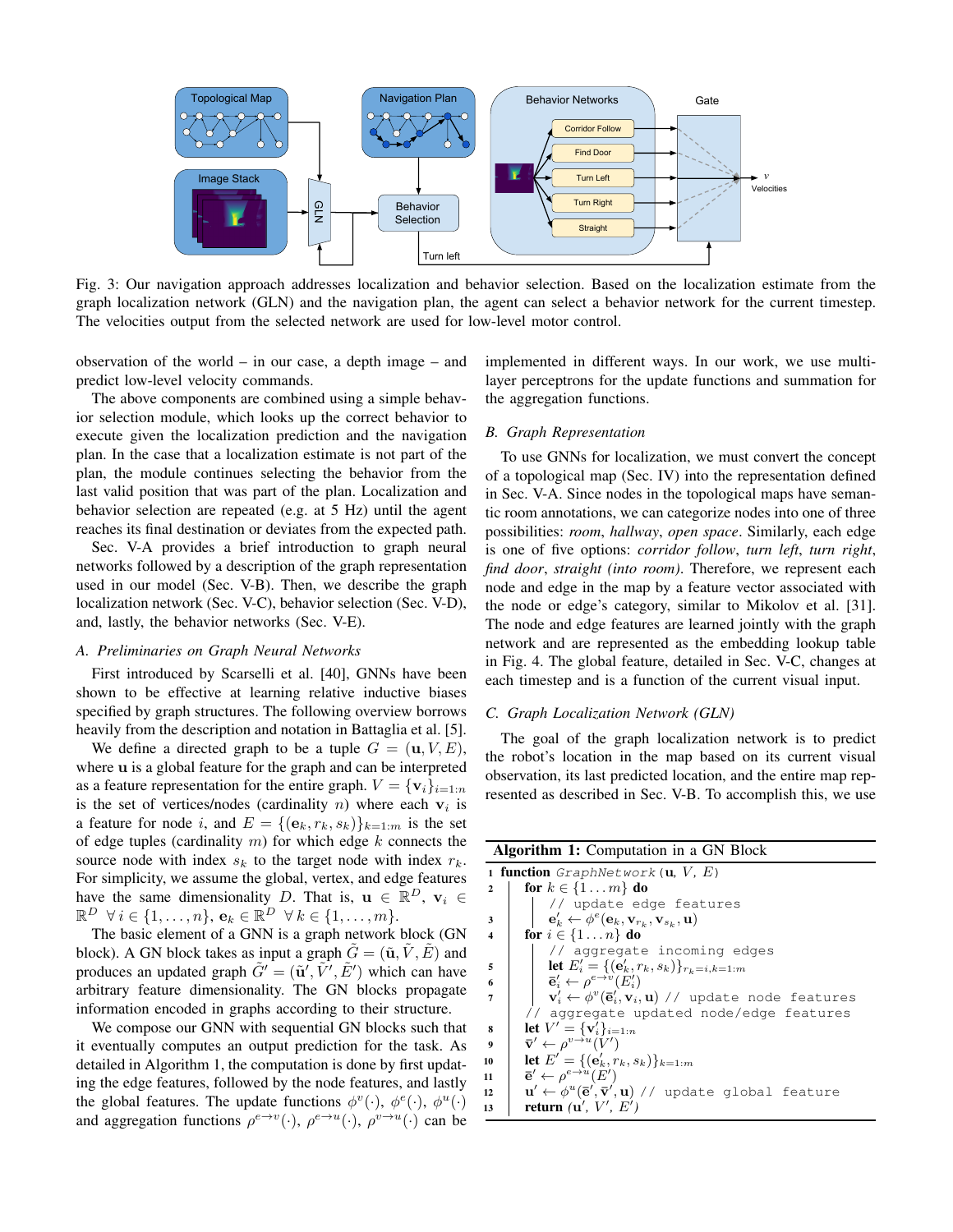

Fig. 3: Our navigation approach addresses localization and behavior selection. Based on the localization estimate from the graph localization network (GLN) and the navigation plan, the agent can select a behavior network for the current timestep. The velocities output from the selected network are used for low-level motor control.

observation of the world  $-$  in our case, a depth image  $-$  and predict low-level velocity commands.

The above components are combined using a simple behavior selection module, which looks up the correct behavior to execute given the localization prediction and the navigation plan. In the case that a localization estimate is not part of the plan, the module continues selecting the behavior from the last valid position that was part of the plan. Localization and behavior selection are repeated (e.g. at 5 Hz) until the agent reaches its final destination or deviates from the expected path.

Sec. V-A provides a brief introduction to graph neural networks followed by a description of the graph representation used in our model (Sec. V-B). Then, we describe the graph localization network (Sec. V-C), behavior selection (Sec. V-D), and, lastly, the behavior networks (Sec. V-E).

#### A. Preliminaries on Graph Neural Networks

First introduced by Scarselli et al. [40], GNNs have been shown to be effective at learning relative inductive biases specified by graph structures. The following overview borrows heavily from the description and notation in Battaglia et al. [5].

We define a directed graph to be a tuple  $G = (\mathbf{u}, V, E)$ , where u is a global feature for the graph and can be interpreted as a feature representation for the entire graph.  $V = {\bf{v}_i}_{i=1:n}$ is the set of vertices/nodes (cardinality  $n$ ) where each  $v_i$  is a feature for node i, and  $E = \{(\mathbf{e}_k, r_k, s_k)\}_{k=1:m}$  is the set of edge tuples (cardinality  $m$ ) for which edge  $k$  connects the source node with index  $s_k$  to the target node with index  $r_k$ . For simplicity, we assume the global, vertex, and edge features have the same dimensionality D. That is,  $\mathbf{u} \in \mathbb{R}^D$ ,  $\mathbf{v}_i \in$  $\mathbb{R}^D \ \forall i \in \{1, \ldots, n\}, \mathbf{e}_k \in \mathbb{R}^D \ \forall k \in \{1, \ldots, m\}.$ 

The basic element of a GNN is a graph network block (GN block). A GN block takes as input a graph  $\tilde{G} = (\tilde{\mathbf{u}}, \tilde{V}, \tilde{E})$  and produces an updated graph  $\tilde{G}' = (\tilde{\mathbf{u}}', \tilde{V}', \tilde{E}')$  which can have arbitrary feature dimensionality. The GN blocks propagate information encoded in graphs according to their structure.

We compose our GNN with sequential GN blocks such that it eventually computes an output prediction for the task. As detailed in Algorithm 1, the computation is done by first updating the edge features, followed by the node features, and lastly the global features. The update functions  $\phi^v(\cdot)$ ,  $\phi^e(\cdot)$ ,  $\phi^u(\cdot)$ and aggregation functions  $\rho^{e\to v}(\cdot)$ ,  $\rho^{e\to u}(\cdot)$ ,  $\rho^{v\to u}(\cdot)$  can be implemented in different ways. In our work, we use multilayer perceptrons for the update functions and summation for the aggregation functions.

#### **B.** Graph Representation

To use GNNs for localization, we must convert the concept of a topological map (Sec. IV) into the representation defined in Sec. V-A. Since nodes in the topological maps have semantic room annotations, we can categorize nodes into one of three possibilities: room, hallway, open space. Similarly, each edge is one of five options: *corridor follow*, *turn left*, *turn right*, find door, straight (into room). Therefore, we represent each node and edge in the map by a feature vector associated with the node or edge's category, similar to Mikolov et al. [31]. The node and edge features are learned jointly with the graph network and are represented as the embedding lookup table in Fig. 4. The global feature, detailed in Sec. V-C, changes at each timestep and is a function of the current visual input.

#### C. Graph Localization Network (GLN)

The goal of the graph localization network is to predict the robot's location in the map based on its current visual observation, its last predicted location, and the entire map represented as described in Sec. V-B. To accomplish this, we use

| <b>Algorithm 1:</b> Computation in a GN Block |                                                                                                            |  |  |  |  |  |  |  |
|-----------------------------------------------|------------------------------------------------------------------------------------------------------------|--|--|--|--|--|--|--|
|                                               | <b>1 function</b> GraphNetwork ( <b>u</b> , $V$ , $E$ )                                                    |  |  |  |  |  |  |  |
| $\mathbf{2}$                                  | for $k \in \{1 \dots m\}$ do                                                                               |  |  |  |  |  |  |  |
|                                               | // update edge features                                                                                    |  |  |  |  |  |  |  |
| 3                                             | $\mathbf{e}'_k \leftarrow \phi^e(\mathbf{e}_k, \mathbf{v}_{r_k}, \mathbf{v}_{s_k}, \mathbf{u})$            |  |  |  |  |  |  |  |
| 4                                             | for $i \in \{1 \dots n\}$ do                                                                               |  |  |  |  |  |  |  |
|                                               | // aggregate incoming edges                                                                                |  |  |  |  |  |  |  |
| 5                                             | let $E'_{i} = \{(\mathbf{e}'_{k}, r_{k}, s_{k})\}_{r_{k} = i, k = 1:m}$                                    |  |  |  |  |  |  |  |
| 6                                             | $\mathbf{\bar{e}}'_i \leftarrow \rho^{e \rightarrow v}(E'_i)$                                              |  |  |  |  |  |  |  |
| 7                                             | $\mathbf{v}'_i \leftarrow \phi^v(\mathbf{\bar{e}}'_i, \mathbf{v}_i, \mathbf{u})$ // update node features   |  |  |  |  |  |  |  |
|                                               | // aggregate updated node/edge features                                                                    |  |  |  |  |  |  |  |
| 8                                             | <b>let</b> $V' = {\mathbf{v}'_i}_{i=1:n}$                                                                  |  |  |  |  |  |  |  |
| $\boldsymbol{Q}$                              | $\bar{\mathbf{v}}' \leftarrow \rho^{v \rightarrow u}(V')$                                                  |  |  |  |  |  |  |  |
| 10                                            | let $E' = \{(\mathbf{e}'_k, r_k, s_k)\}_{k=1:m}$                                                           |  |  |  |  |  |  |  |
| 11                                            | $\mathbf{\bar{e}}' \leftarrow \rho^{e \rightarrow u}(E')$                                                  |  |  |  |  |  |  |  |
| 12                                            | $\mathbf{u}' \leftarrow \phi^u(\mathbf{\bar{e}}', \mathbf{\bar{v}}', \mathbf{u})$ // update global feature |  |  |  |  |  |  |  |
| 13                                            | return $(\mathbf{u}', V', E')$                                                                             |  |  |  |  |  |  |  |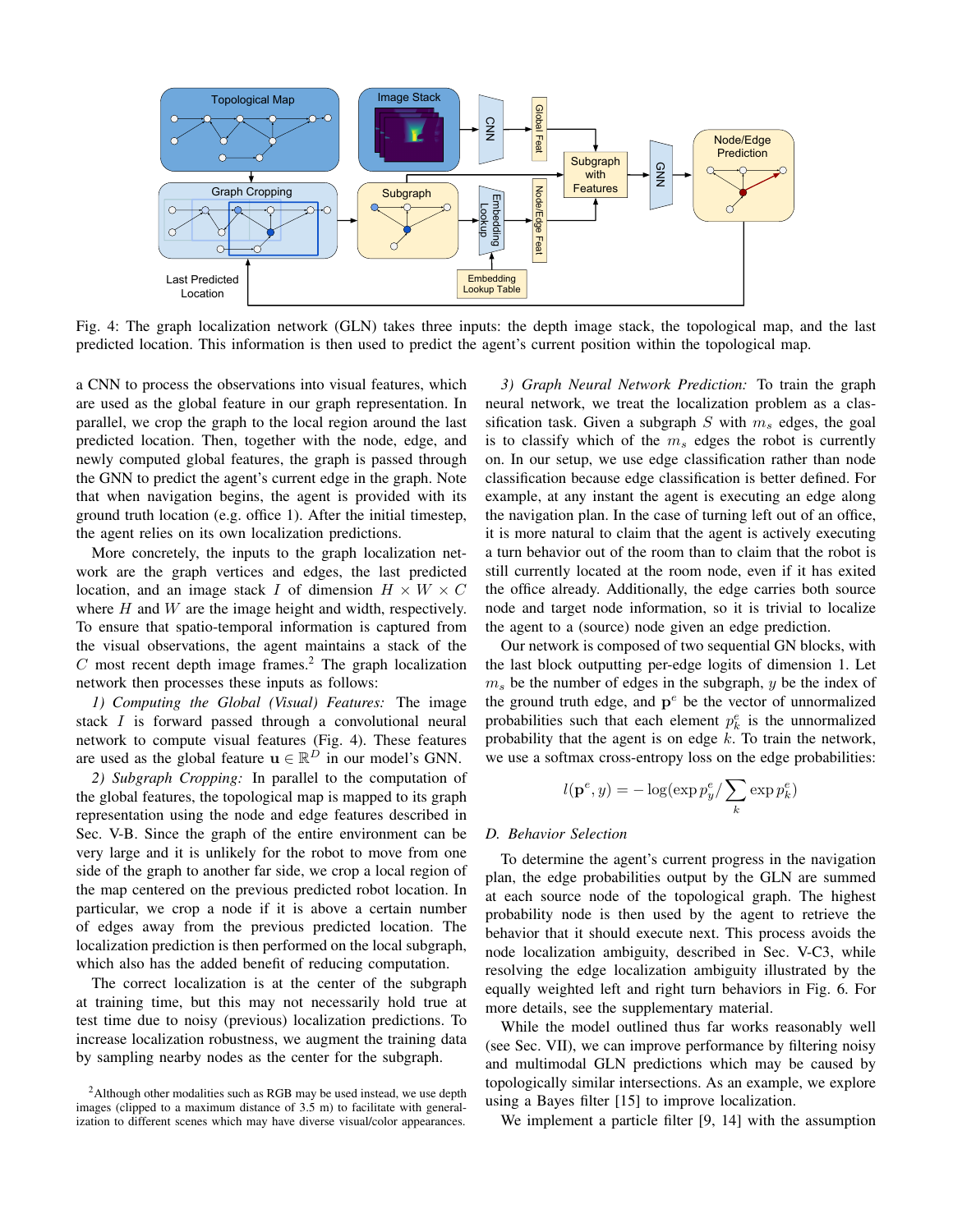

Fig. 4: The graph localization network (GLN) takes three inputs: the depth image stack, the topological map, and the last predicted location. This information is then used to predict the agent's current position within the topological map.

a CNN to process the observations into visual features, which are used as the global feature in our graph representation. In parallel, we crop the graph to the local region around the last predicted location. Then, together with the node, edge, and newly computed global features, the graph is passed through the GNN to predict the agent's current edge in the graph. Note that when navigation begins, the agent is provided with its ground truth location (e.g. office 1). After the initial timestep, the agent relies on its own localization predictions.

More concretely, the inputs to the graph localization network are the graph vertices and edges, the last predicted location, and an image stack I of dimension  $H \times W \times C$ where  $H$  and  $W$  are the image height and width, respectively. To ensure that spatio-temporal information is captured from the visual observations, the agent maintains a stack of the  $C$  most recent depth image frames.<sup>2</sup> The graph localization network then processes these inputs as follows:

1) Computing the Global (Visual) Features: The image stack I is forward passed through a convolutional neural network to compute visual features (Fig. 4). These features are used as the global feature  $\mathbf{u} \in \mathbb{R}^D$  in our model's GNN.

2) Subgraph Cropping: In parallel to the computation of the global features, the topological map is mapped to its graph representation using the node and edge features described in Sec. V-B. Since the graph of the entire environment can be very large and it is unlikely for the robot to move from one side of the graph to another far side, we crop a local region of the map centered on the previous predicted robot location. In particular, we crop a node if it is above a certain number of edges away from the previous predicted location. The localization prediction is then performed on the local subgraph, which also has the added benefit of reducing computation.

The correct localization is at the center of the subgraph at training time, but this may not necessarily hold true at test time due to noisy (previous) localization predictions. To increase localization robustness, we augment the training data by sampling nearby nodes as the center for the subgraph.

3) Graph Neural Network Prediction: To train the graph neural network, we treat the localization problem as a classification task. Given a subgraph S with  $m_s$  edges, the goal is to classify which of the  $m_s$  edges the robot is currently on. In our setup, we use edge classification rather than node classification because edge classification is better defined. For example, at any instant the agent is executing an edge along the navigation plan. In the case of turning left out of an office, it is more natural to claim that the agent is actively executing a turn behavior out of the room than to claim that the robot is still currently located at the room node, even if it has exited the office already. Additionally, the edge carries both source node and target node information, so it is trivial to localize the agent to a (source) node given an edge prediction.

Our network is composed of two sequential GN blocks, with the last block outputting per-edge logits of dimension 1. Let  $m_s$  be the number of edges in the subgraph, y be the index of the ground truth edge, and  $p^e$  be the vector of unnormalized probabilities such that each element  $p_k^e$  is the unnormalized probability that the agent is on edge  $k$ . To train the network, we use a softmax cross-entropy loss on the edge probabilities:

$$
l(\mathbf{p}^e, y) = -\log(\exp p_y^e / \sum_k \exp p_k^e)
$$

#### D. Behavior Selection

To determine the agent's current progress in the navigation plan, the edge probabilities output by the GLN are summed at each source node of the topological graph. The highest probability node is then used by the agent to retrieve the behavior that it should execute next. This process avoids the node localization ambiguity, described in Sec. V-C3, while resolving the edge localization ambiguity illustrated by the equally weighted left and right turn behaviors in Fig. 6. For more details, see the supplementary material.

While the model outlined thus far works reasonably well (see Sec. VII), we can improve performance by filtering noisy and multimodal GLN predictions which may be caused by topologically similar intersections. As an example, we explore using a Bayes filter [15] to improve localization.

We implement a particle filter  $[9, 14]$  with the assumption

<sup>&</sup>lt;sup>2</sup>Although other modalities such as RGB may be used instead, we use depth images (clipped to a maximum distance of 3.5 m) to facilitate with generalization to different scenes which may have diverse visual/color appearances.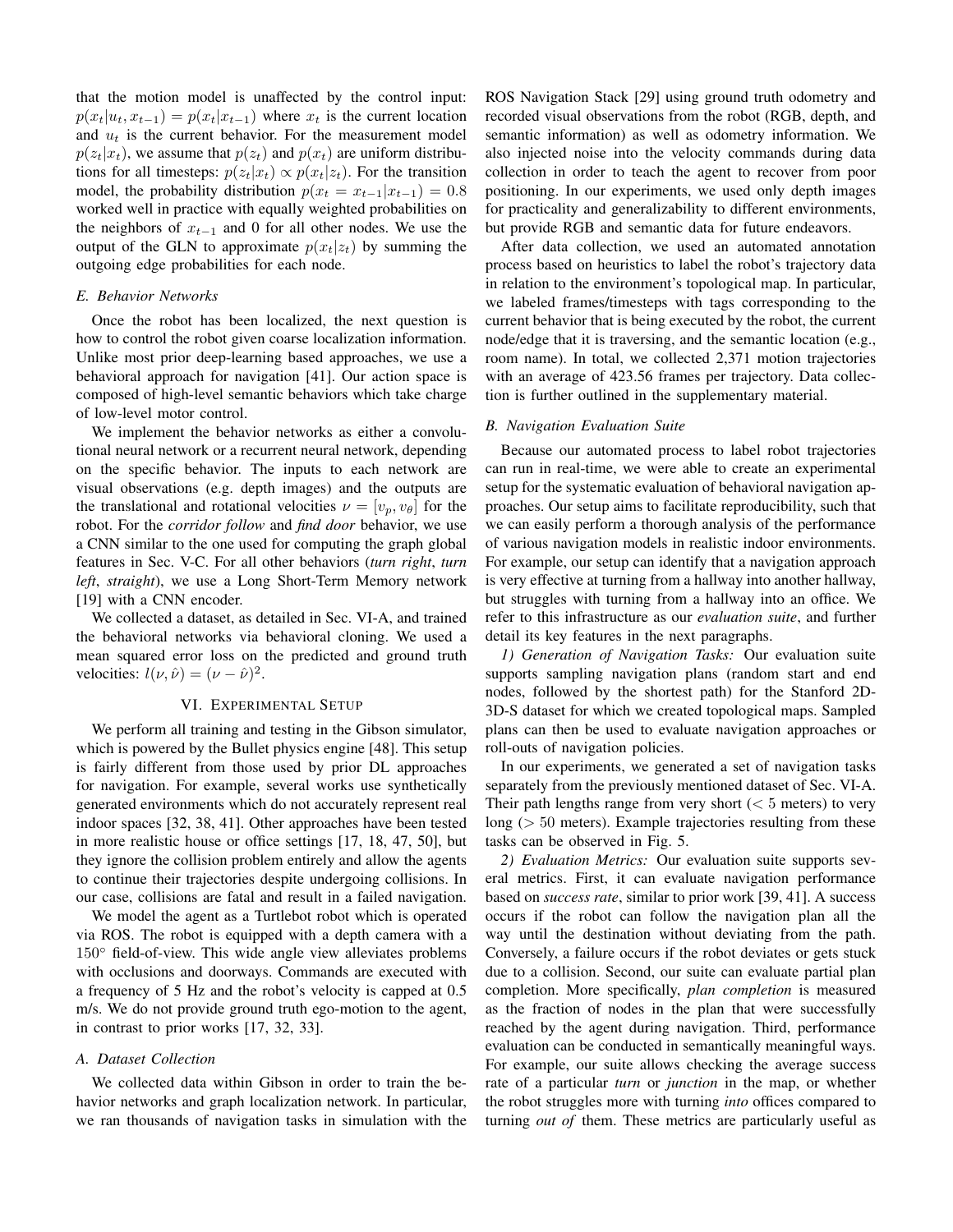that the motion model is unaffected by the control input:  $p(x_t|u_t, x_{t-1}) = p(x_t|x_{t-1})$  where  $x_t$  is the current location and  $u_t$  is the current behavior. For the measurement model  $p(z_t|x_t)$ , we assume that  $p(z_t)$  and  $p(x_t)$  are uniform distributions for all timesteps:  $p(z_t|x_t) \propto p(x_t|z_t)$ . For the transition model, the probability distribution  $p(x_t = x_{t-1}|x_{t-1}) = 0.8$ worked well in practice with equally weighted probabilities on the neighbors of  $x_{t-1}$  and 0 for all other nodes. We use the output of the GLN to approximate  $p(x_t|z_t)$  by summing the outgoing edge probabilities for each node.

#### E. Behavior Networks

Once the robot has been localized, the next question is how to control the robot given coarse localization information. Unlike most prior deep-learning based approaches, we use a behavioral approach for navigation [41]. Our action space is composed of high-level semantic behaviors which take charge of low-level motor control.

We implement the behavior networks as either a convolutional neural network or a recurrent neural network, depending on the specific behavior. The inputs to each network are visual observations (e.g. depth images) and the outputs are the translational and rotational velocities  $\nu = [v_n, v_{\theta}]$  for the robot. For the *corridor follow* and *find door* behavior, we use a CNN similar to the one used for computing the graph global features in Sec. V-C. For all other behaviors (turn right, turn left, straight), we use a Long Short-Term Memory network [19] with a CNN encoder.

We collected a dataset, as detailed in Sec. VI-A, and trained the behavioral networks via behavioral cloning. We used a mean squared error loss on the predicted and ground truth velocities:  $l(\nu, \hat{\nu}) = (\nu - \hat{\nu})^2$ .

# VI. EXPERIMENTAL SETUP

We perform all training and testing in the Gibson simulator, which is powered by the Bullet physics engine [48]. This setup is fairly different from those used by prior DL approaches for navigation. For example, several works use synthetically generated environments which do not accurately represent real indoor spaces [32, 38, 41]. Other approaches have been tested in more realistic house or office settings [17, 18, 47, 50], but they ignore the collision problem entirely and allow the agents to continue their trajectories despite undergoing collisions. In our case, collisions are fatal and result in a failed navigation.

We model the agent as a Turtlebot robot which is operated via ROS. The robot is equipped with a depth camera with a  $150^{\circ}$  field-of-view. This wide angle view alleviates problems with occlusions and doorways. Commands are executed with a frequency of 5 Hz and the robot's velocity is capped at 0.5 m/s. We do not provide ground truth ego-motion to the agent, in contrast to prior works [17, 32, 33].

#### A. Dataset Collection

We collected data within Gibson in order to train the behavior networks and graph localization network. In particular, we ran thousands of navigation tasks in simulation with the ROS Navigation Stack [29] using ground truth odometry and recorded visual observations from the robot (RGB, depth, and semantic information) as well as odometry information. We also injected noise into the velocity commands during data collection in order to teach the agent to recover from poor positioning. In our experiments, we used only depth images for practicality and generalizability to different environments, but provide RGB and semantic data for future endeavors.

After data collection, we used an automated annotation process based on heuristics to label the robot's trajectory data in relation to the environment's topological map. In particular, we labeled frames/timesteps with tags corresponding to the current behavior that is being executed by the robot, the current node/edge that it is traversing, and the semantic location (e.g., room name). In total, we collected 2,371 motion trajectories with an average of 423.56 frames per trajectory. Data collection is further outlined in the supplementary material.

### **B.** Navigation Evaluation Suite

Because our automated process to label robot trajectories can run in real-time, we were able to create an experimental setup for the systematic evaluation of behavioral navigation approaches. Our setup aims to facilitate reproducibility, such that we can easily perform a thorough analysis of the performance of various navigation models in realistic indoor environments. For example, our setup can identify that a navigation approach is very effective at turning from a hallway into another hallway, but struggles with turning from a hallway into an office. We refer to this infrastructure as our *evaluation suite*, and further detail its key features in the next paragraphs.

1) Generation of Navigation Tasks: Our evaluation suite supports sampling navigation plans (random start and end nodes, followed by the shortest path) for the Stanford 2D-3D-S dataset for which we created topological maps. Sampled plans can then be used to evaluate navigation approaches or roll-outs of navigation policies.

In our experiments, we generated a set of navigation tasks separately from the previously mentioned dataset of Sec. VI-A. Their path lengths range from very short ( $< 5$  meters) to very long ( $> 50$  meters). Example trajectories resulting from these tasks can be observed in Fig. 5.

2) Evaluation Metrics: Our evaluation suite supports several metrics. First, it can evaluate navigation performance based on *success rate*, similar to prior work [39, 41]. A success occurs if the robot can follow the navigation plan all the way until the destination without deviating from the path. Conversely, a failure occurs if the robot deviates or gets stuck due to a collision. Second, our suite can evaluate partial plan completion. More specifically, plan completion is measured as the fraction of nodes in the plan that were successfully reached by the agent during navigation. Third, performance evaluation can be conducted in semantically meaningful ways. For example, our suite allows checking the average success rate of a particular *turn* or *junction* in the map, or whether the robot struggles more with turning into offices compared to turning *out of* them. These metrics are particularly useful as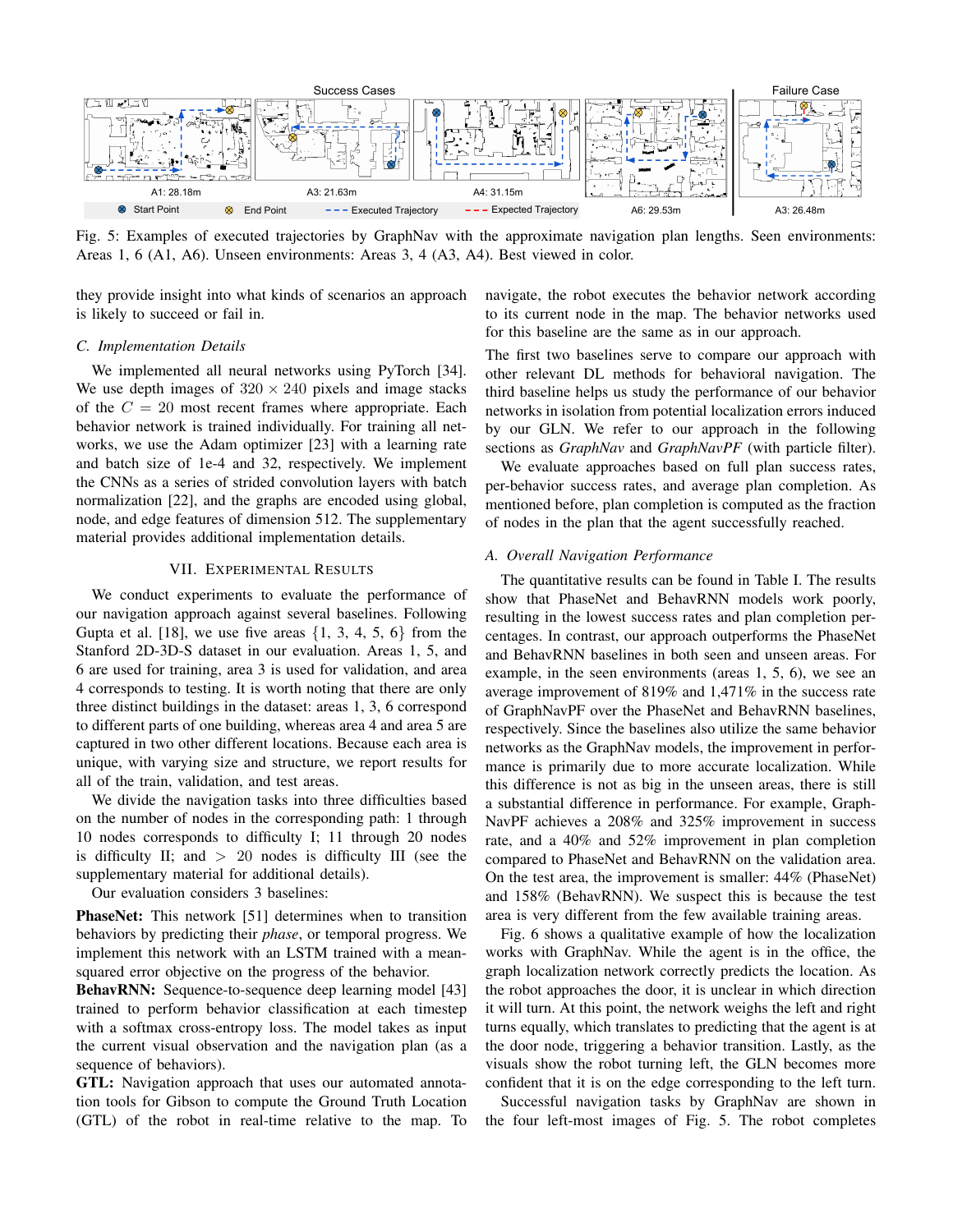

Fig. 5: Examples of executed trajectories by GraphNav with the approximate navigation plan lengths. Seen environments: Areas 1, 6 (A1, A6). Unseen environments: Areas 3, 4 (A3, A4). Best viewed in color.

they provide insight into what kinds of scenarios an approach is likely to succeed or fail in.

#### C. Implementation Details

We implemented all neural networks using PyTorch [34]. We use depth images of  $320 \times 240$  pixels and image stacks of the  $C = 20$  most recent frames where appropriate. Each behavior network is trained individually. For training all networks, we use the Adam optimizer [23] with a learning rate and batch size of 1e-4 and 32, respectively. We implement the CNNs as a series of strided convolution layers with batch normalization [22], and the graphs are encoded using global, node, and edge features of dimension 512. The supplementary material provides additional implementation details.

# VII. EXPERIMENTAL RESULTS

We conduct experiments to evaluate the performance of our navigation approach against several baselines. Following Gupta et al. [18], we use five areas  $\{1, 3, 4, 5, 6\}$  from the Stanford 2D-3D-S dataset in our evaluation. Areas 1, 5, and 6 are used for training, area 3 is used for validation, and area 4 corresponds to testing. It is worth noting that there are only three distinct buildings in the dataset: areas 1, 3, 6 correspond to different parts of one building, whereas area 4 and area 5 are captured in two other different locations. Because each area is unique, with varying size and structure, we report results for all of the train, validation, and test areas.

We divide the navigation tasks into three difficulties based on the number of nodes in the corresponding path: 1 through 10 nodes corresponds to difficulty I; 11 through 20 nodes is difficulty II; and  $> 20$  nodes is difficulty III (see the supplementary material for additional details).

Our evaluation considers 3 baselines:

PhaseNet: This network [51] determines when to transition behaviors by predicting their *phase*, or temporal progress. We implement this network with an LSTM trained with a meansquared error objective on the progress of the behavior.

BehavRNN: Sequence-to-sequence deep learning model [43] trained to perform behavior classification at each timestep with a softmax cross-entropy loss. The model takes as input the current visual observation and the navigation plan (as a sequence of behaviors).

**GTL:** Navigation approach that uses our automated annotation tools for Gibson to compute the Ground Truth Location (GTL) of the robot in real-time relative to the map. To navigate, the robot executes the behavior network according to its current node in the map. The behavior networks used for this baseline are the same as in our approach.

The first two baselines serve to compare our approach with other relevant DL methods for behavioral navigation. The third baseline helps us study the performance of our behavior networks in isolation from potential localization errors induced by our GLN. We refer to our approach in the following sections as *GraphNav* and *GraphNavPF* (with particle filter).

We evaluate approaches based on full plan success rates, per-behavior success rates, and average plan completion. As mentioned before, plan completion is computed as the fraction of nodes in the plan that the agent successfully reached.

## A. Overall Navigation Performance

The quantitative results can be found in Table I. The results show that PhaseNet and BehavRNN models work poorly, resulting in the lowest success rates and plan completion percentages. In contrast, our approach outperforms the PhaseNet and BehavRNN baselines in both seen and unseen areas. For example, in the seen environments (areas  $1, 5, 6$ ), we see an average improvement of 819% and 1,471% in the success rate of GraphNavPF over the PhaseNet and BehavRNN baselines, respectively. Since the baselines also utilize the same behavior networks as the GraphNav models, the improvement in performance is primarily due to more accurate localization. While this difference is not as big in the unseen areas, there is still a substantial difference in performance. For example, Graph-NavPF achieves a 208% and 325% improvement in success rate, and a 40% and 52% improvement in plan completion compared to PhaseNet and BehavRNN on the validation area. On the test area, the improvement is smaller: 44% (PhaseNet) and 158% (BehavRNN). We suspect this is because the test area is very different from the few available training areas.

Fig. 6 shows a qualitative example of how the localization works with GraphNav. While the agent is in the office, the graph localization network correctly predicts the location. As the robot approaches the door, it is unclear in which direction it will turn. At this point, the network weighs the left and right turns equally, which translates to predicting that the agent is at the door node, triggering a behavior transition. Lastly, as the visuals show the robot turning left, the GLN becomes more confident that it is on the edge corresponding to the left turn.

Successful navigation tasks by GraphNav are shown in the four left-most images of Fig. 5. The robot completes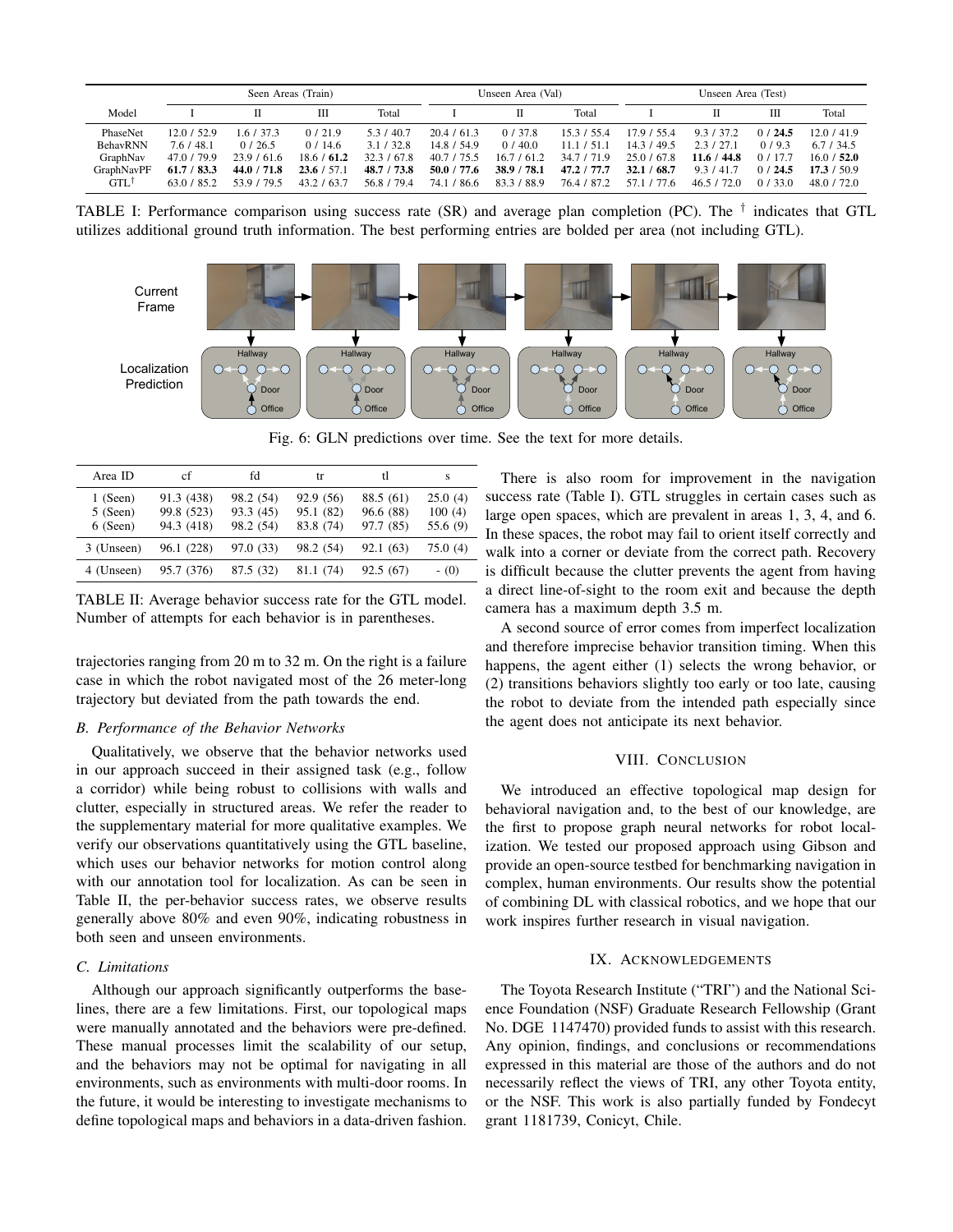|                 | Seen Areas (Train) |             |             |             | Unseen Area (Val) |             |             | Unseen Area (Test) |               |        |             |
|-----------------|--------------------|-------------|-------------|-------------|-------------------|-------------|-------------|--------------------|---------------|--------|-------------|
| Model           |                    |             |             | Total       |                   |             | Total       |                    |               | Ш      | Total       |
| PhaseNet        | 12.0/52.9          | 1.6/37.3    | 0/21.9      | 5.3 / 40.7  | 20.4 / 61.3       | 0/37.8      | 15.3 / 55.4 | 17.9 / 55.4        | 9.3 / 37.2    | 0/24.5 | 12.0/41.9   |
| <b>BehavRNN</b> | 7.6 / 48.1         | 0/26.5      | 0/14.6      | 3.1 / 32.8  | 14.8 / 54.9       | 0/40.0      | 11.1 / 51.1 | 14.3 / 49.5        | 2.3/27.1      | 0/9.3  | 6.7 / 34.5  |
| GraphNav        | 47.0 / 79.9        | 23.9/61.6   | 18.6 / 61.2 | 32.3 / 67.8 | 40.7 / 75.5       | 16.7 / 61.2 | 34.7 / 71.9 | 25.0 / 67.8        | 44.8<br>11.6/ | 0/17.7 | 16.0 / 52.0 |
| GraphNavPF      | 61.7 / 83.3        | 44.0 / 71.8 | 23.6 / 57.1 | 48.7 / 73.8 | 50.0 / 77.6       | 38.9 / 78.1 | 47.2 / 77.7 | 68.7<br>32.1       | 9.3/41.7      | 0/24.5 | 17.3 / 50.9 |
| $GTL^{\dagger}$ | 63.0 / 85.2        | 539/795     | 43.2 / 63.7 | 56.8 / 79.4 | / 86.6<br>74.1    | 83.3 / 88.9 | 76.4 / 87.2 | 57.1 / 77.6        | 46.5/72.0     | 0/33.0 | 48.0 / 72.0 |

TABLE I: Performance comparison using success rate (SR) and average plan completion (PC). The  $\dagger$  indicates that GTL utilizes additional ground truth information. The best performing entries are bolded per area (not including GTL).



Fig. 6: GLN predictions over time. See the text for more details.

| Area ID    | cf         | fd        | tr        | tl        | s        |
|------------|------------|-----------|-----------|-----------|----------|
| $1$ (Seen) | 91.3 (438) | 98.2 (54) | 92.9 (56) | 88.5 (61) | 25.0(4)  |
| $5$ (Seen) | 99.8 (523) | 93.3(45)  | 95.1 (82) | 96.6(88)  | 100(4)   |
| $6$ (Seen) | 94.3 (418) | 98.2 (54) | 83.8 (74) | 97.7 (85) | 55.6 (9) |
| 3 (Unseen) | 96.1 (228) | 97.0 (33) | 98.2 (54) | 92.1 (63) | 75.0 (4) |
| 4 (Unseen) | 95.7 (376) | 87.5 (32) | 81.1 (74) | 92.5 (67) | $-$ (0)  |

TABLE II: Average behavior success rate for the GTL model. Number of attempts for each behavior is in parentheses.

trajectories ranging from 20 m to 32 m. On the right is a failure case in which the robot navigated most of the 26 meter-long trajectory but deviated from the path towards the end.

## B. Performance of the Behavior Networks

Qualitatively, we observe that the behavior networks used in our approach succeed in their assigned task (e.g., follow a corridor) while being robust to collisions with walls and clutter, especially in structured areas. We refer the reader to the supplementary material for more qualitative examples. We verify our observations quantitatively using the GTL baseline, which uses our behavior networks for motion control along with our annotation tool for localization. As can be seen in Table II, the per-behavior success rates, we observe results generally above 80% and even 90%, indicating robustness in both seen and unseen environments.

# C. Limitations

Although our approach significantly outperforms the baselines, there are a few limitations. First, our topological maps were manually annotated and the behaviors were pre-defined. These manual processes limit the scalability of our setup, and the behaviors may not be optimal for navigating in all environments, such as environments with multi-door rooms. In the future, it would be interesting to investigate mechanisms to define topological maps and behaviors in a data-driven fashion.

There is also room for improvement in the navigation success rate (Table I). GTL struggles in certain cases such as large open spaces, which are prevalent in areas 1, 3, 4, and 6. In these spaces, the robot may fail to orient itself correctly and walk into a corner or deviate from the correct path. Recovery is difficult because the clutter prevents the agent from having a direct line-of-sight to the room exit and because the depth camera has a maximum depth 3.5 m.

A second source of error comes from imperfect localization and therefore imprecise behavior transition timing. When this happens, the agent either (1) selects the wrong behavior, or (2) transitions behaviors slightly too early or too late, causing the robot to deviate from the intended path especially since the agent does not anticipate its next behavior.

## VIII. CONCLUSION

We introduced an effective topological map design for behavioral navigation and, to the best of our knowledge, are the first to propose graph neural networks for robot localization. We tested our proposed approach using Gibson and provide an open-source testbed for benchmarking navigation in complex, human environments. Our results show the potential of combining DL with classical robotics, and we hope that our work inspires further research in visual navigation.

## IX. ACKNOWLEDGEMENTS

The Toyota Research Institute ("TRI") and the National Science Foundation (NSF) Graduate Research Fellowship (Grant No. DGE 1147470) provided funds to assist with this research. Any opinion, findings, and conclusions or recommendations expressed in this material are those of the authors and do not necessarily reflect the views of TRI, any other Toyota entity, or the NSF. This work is also partially funded by Fondecyt grant 1181739, Conicyt, Chile.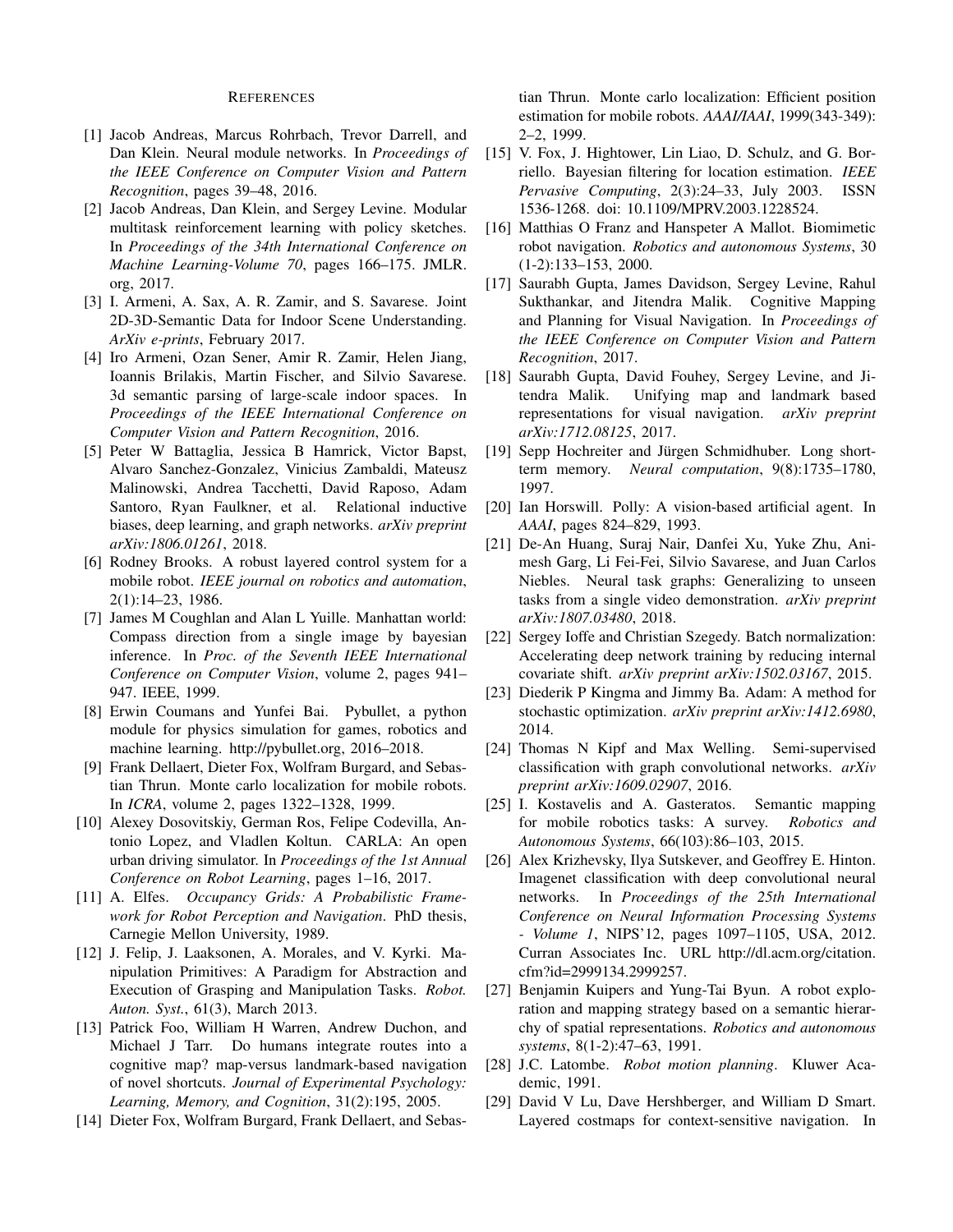#### **REFERENCES**

- [1] Jacob Andreas, Marcus Rohrbach, Trevor Darrell, and Dan Klein. Neural module networks. In Proceedings of the IEEE Conference on Computer Vision and Pattern Recognition, pages 39–48, 2016.
- [2] Jacob Andreas, Dan Klein, and Sergey Levine. Modular multitask reinforcement learning with policy sketches. In Proceedings of the 34th International Conference on Machine Learning-Volume 70, pages 166-175. JMLR. org, 2017.
- [3] I. Armeni, A. Sax, A. R. Zamir, and S. Savarese. Joint 2D-3D-Semantic Data for Indoor Scene Understanding. ArXiv e-prints, February 2017.
- [4] Iro Armeni, Ozan Sener, Amir R. Zamir, Helen Jiang, Ioannis Brilakis, Martin Fischer, and Silvio Savarese. 3d semantic parsing of large-scale indoor spaces. In Proceedings of the IEEE International Conference on Computer Vision and Pattern Recognition, 2016.
- [5] Peter W Battaglia, Jessica B Hamrick, Victor Bapst, Alvaro Sanchez-Gonzalez, Vinicius Zambaldi, Mateusz Malinowski, Andrea Tacchetti, David Raposo, Adam Santoro, Ryan Faulkner, et al. Relational inductive biases, deep learning, and graph networks. arXiv preprint arXiv:1806.01261, 2018.
- [6] Rodney Brooks. A robust layered control system for a mobile robot. IEEE journal on robotics and automation, 2(1):14-23, 1986.
- [7] James M Coughlan and Alan L Yuille. Manhattan world: Compass direction from a single image by bayesian inference. In Proc. of the Seventh IEEE International Conference on Computer Vision, volume 2, pages 941– 947. IEEE, 1999.
- [8] Erwin Coumans and Yunfei Bai. Pybullet, a python module for physics simulation for games, robotics and machine learning. http://pybullet.org, 2016-2018.
- [9] Frank Dellaert, Dieter Fox, Wolfram Burgard, and Sebastian Thrun. Monte carlo localization for mobile robots. In *ICRA*, volume 2, pages 1322–1328, 1999.
- [10] Alexey Dosovitskiy, German Ros, Felipe Codevilla, Antonio Lopez, and Vladlen Koltun. CARLA: An open urban driving simulator. In Proceedings of the 1st Annual Conference on Robot Learning, pages 1-16, 2017.
- [11] A. Elfes. Occupancy Grids: A Probabilistic Framework for Robot Perception and Navigation. PhD thesis, Carnegie Mellon University, 1989.
- [12] J. Felip, J. Laaksonen, A. Morales, and V. Kyrki. Manipulation Primitives: A Paradigm for Abstraction and Execution of Grasping and Manipulation Tasks. Robot. Auton. Syst., 61(3), March 2013.
- [13] Patrick Foo, William H Warren, Andrew Duchon, and Michael J Tarr. Do humans integrate routes into a cognitive map? map-versus landmark-based navigation of novel shortcuts. Journal of Experimental Psychology: Learning, Memory, and Cognition, 31(2):195, 2005.
- [14] Dieter Fox, Wolfram Burgard, Frank Dellaert, and Sebas-

tian Thrun. Monte carlo localization: Efficient position estimation for mobile robots. AAAI/IAAI, 1999(343-349): 2-2, 1999.

- [15] V. Fox, J. Hightower, Lin Liao, D. Schulz, and G. Borriello. Bayesian filtering for location estimation. IEEE Pervasive Computing, 2(3):24-33, July 2003. ISSN 1536-1268. doi: 10.1109/MPRV.2003.1228524.
- Matthias O Franz and Hanspeter A Mallot. Biomimetic  $[16]$ robot navigation. Robotics and autonomous Systems, 30  $(1-2):133-153, 2000.$
- [17] Saurabh Gupta, James Davidson, Sergey Levine, Rahul Sukthankar, and Jitendra Malik. Cognitive Mapping and Planning for Visual Navigation. In Proceedings of the IEEE Conference on Computer Vision and Pattern Recognition, 2017.
- Saurabh Gupta, David Fouhey, Sergey Levine, and Ji- $[18]$ tendra Malik. Unifying map and landmark based representations for visual navigation. *arXiv preprint* arXiv:1712.08125, 2017.
- [19] Sepp Hochreiter and Jürgen Schmidhuber. Long shortterm memory. Neural computation, 9(8):1735-1780, 1997.
- [20] Ian Horswill. Polly: A vision-based artificial agent. In AAAI, pages 824–829, 1993.
- [21] De-An Huang, Suraj Nair, Danfei Xu, Yuke Zhu, Animesh Garg, Li Fei-Fei, Silvio Savarese, and Juan Carlos Niebles. Neural task graphs: Generalizing to unseen tasks from a single video demonstration. arXiv preprint arXiv:1807.03480, 2018.
- [22] Sergey Ioffe and Christian Szegedy. Batch normalization: Accelerating deep network training by reducing internal covariate shift. arXiv preprint arXiv:1502.03167, 2015.
- [23] Diederik P Kingma and Jimmy Ba. Adam: A method for stochastic optimization. arXiv preprint arXiv:1412.6980, 2014.
- [24] Thomas N Kipf and Max Welling. Semi-supervised classification with graph convolutional networks. arXiv preprint arXiv:1609.02907, 2016.
- [25] I. Kostavelis and A. Gasteratos. Semantic mapping for mobile robotics tasks: A survey. Robotics and Autonomous Systems, 66(103):86-103, 2015.
- [26] Alex Krizhevsky, Ilya Sutskever, and Geoffrey E. Hinton. Imagenet classification with deep convolutional neural networks. In Proceedings of the 25th International Conference on Neural Information Processing Systems - Volume 1, NIPS'12, pages 1097-1105, USA, 2012. Curran Associates Inc. URL http://dl.acm.org/citation. cfm?id=2999134.2999257.
- [27] Benjamin Kuipers and Yung-Tai Byun. A robot exploration and mapping strategy based on a semantic hierarchy of spatial representations. Robotics and autonomous systems, 8(1-2):47–63, 1991.
- [28] J.C. Latombe. Robot motion planning. Kluwer Academic, 1991.
- [29] David V Lu, Dave Hershberger, and William D Smart. Layered costmaps for context-sensitive navigation. In